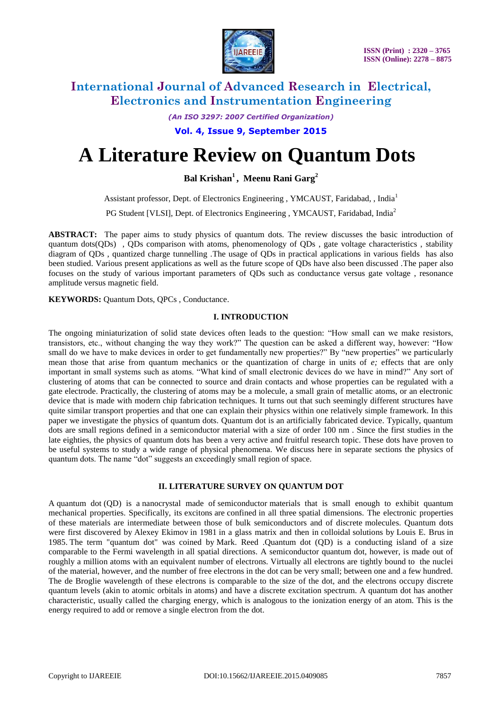

*(An ISO 3297: 2007 Certified Organization)*

**Vol. 4, Issue 9, September 2015**

# **A Literature Review on Quantum Dots**

**Bal Krishan<sup>1</sup> , Meenu Rani Garg<sup>2</sup>**

Assistant professor, Dept. of Electronics Engineering , YMCAUST, Faridabad, , India<sup>1</sup>

PG Student [VLSI], Dept. of Electronics Engineering, YMCAUST, Faridabad, India<sup>2</sup>

**ABSTRACT:** The paper aims to study physics of quantum dots. The review discusses the basic introduction of quantum dots(QDs) , QDs comparison with atoms, phenomenology of QDs , gate voltage characteristics , stability diagram of QDs , quantized charge tunnelling .The usage of QDs in practical applications in various fields has also been studied. Various present applications as well as the future scope of QDs have also been discussed .The paper also focuses on the study of various important parameters of QDs such as conductance versus gate voltage , resonance amplitude versus magnetic field.

**KEYWORDS:** Quantum Dots, QPCs , Conductance.

### **I. INTRODUCTION**

The ongoing miniaturization of solid state devices often leads to the question: "How small can we make resistors, transistors, etc., without changing the way they work?" The question can be asked a different way, however: "How small do we have to make devices in order to get fundamentally new properties?" By "new properties" we particularly mean those that arise from quantum mechanics or the quantization of charge in units of *e;* effects that are only important in small systems such as atoms. "What kind of small electronic devices do we have in mind?" Any sort of clustering of atoms that can be connected to source and drain contacts and whose properties can be regulated with a gate electrode. Practically, the clustering of atoms may be a molecule, a small grain of metallic atoms, or an electronic device that is made with modern chip fabrication techniques. It turns out that such seemingly different structures have quite similar transport properties and that one can explain their physics within one relatively simple framework. In this paper we investigate the physics of quantum dots. Quantum dot is an artificially fabricated device. Typically, quantum dots are small regions defined in a semiconductor material with a size of order 100 nm . Since the first studies in the late eighties, the physics of quantum dots has been a very active and fruitful research topic. These dots have proven to be useful systems to study a wide range of physical phenomena. We discuss here in separate sections the physics of quantum dots. The name "dot" suggests an exceedingly small region of space.

### **II. LITERATURE SURVEY ON QUANTUM DOT**

A quantum dot (QD) is a nanocrystal made of [semiconductor](https://en.wikipedia.org/wiki/Semiconductor) materials that is small enough to exhibit quantum mechanical properties. Specifically, its [excitons](https://en.wikipedia.org/wiki/Exciton) are [confined](https://en.wikipedia.org/wiki/Potential_well) in all three [spatial dimensions.](https://en.wikipedia.org/wiki/Spatial_dimensions) The electronic properties of these materials are intermediate between those of bulk semiconductors and of discrete [molecules.](https://en.wikipedia.org/wiki/Molecules) Quantum dots were first discovered by [Alexey Ekimov](https://en.wikipedia.org/wiki/Alexey_Ekimov) in 1981 in a glass matrix and then in [colloidal](https://en.wikipedia.org/wiki/Colloid) solutions by [Louis E. Brus](https://en.wikipedia.org/wiki/Louis_E._Brus) in 1985. The term "quantum dot" was coined by [Mark.](https://en.wikipedia.org/wiki/Mark_Reed_(physicist)) Reed .Quantum dot (QD) is a conducting island of a size comparable to the Fermi wavelength in all spatial directions. A semiconductor quantum dot, however, is made out of roughly a million atoms with an equivalent number of electrons. Virtually all electrons are tightly bound to the nuclei of the material, however, and the number of free electrons in the dot can be very small; between one and a few hundred. The de Broglie wavelength of these electrons is comparable to the size of the dot, and the electrons occupy discrete quantum levels (akin to atomic orbitals in atoms) and have a discrete excitation spectrum. A quantum dot has another characteristic, usually called the charging energy, which is analogous to the ionization energy of an atom. This is the energy required to add or remove a single electron from the dot.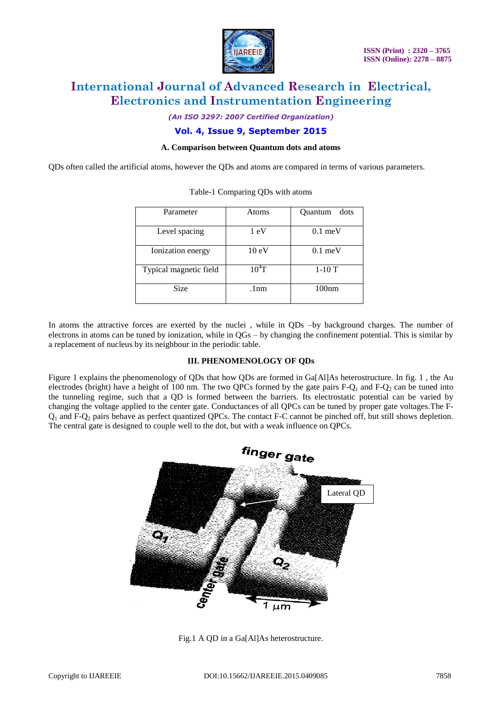

*(An ISO 3297: 2007 Certified Organization)*

## **Vol. 4, Issue 9, September 2015**

### **A. Comparison between Quantum dots and atoms**

QDs often called the artificial atoms, however the QDs and atoms are compared in terms of various parameters.

| Parameter              | Atoms           | Quantum<br>dots   |  |
|------------------------|-----------------|-------------------|--|
| Level spacing          | 1 eV            | $0.1 \text{ meV}$ |  |
| Ionization energy      | $10 \text{ eV}$ | $0.1 \text{ meV}$ |  |
| Typical magnetic field | $10^4$ T        | $1-10T$           |  |
| <b>Size</b>            | .1nm            | 100 <sub>nm</sub> |  |
|                        |                 |                   |  |

| Table-1 Comparing QDs with atoms |  |  |
|----------------------------------|--|--|

In atoms the attractive forces are exerted by the nuclei , while in QDs –by background charges. The number of electrons in atoms can be tuned by ionization, while in QGs – by changing the confinement potential. This is similar by a replacement of nucleus by its neighbour in the periodic table.

### **III. PHENOMENOLOGY OF QDs**

Figure 1 explains the phenomenology of QDs that how QDs are formed in Ga[Al]As heterostructure. In fig. 1 , the Au electrodes (bright) have a height of 100 nm. The two QPCs formed by the gate pairs  $F-Q_1$  and  $F-Q_2$  can be tuned into the tunneling regime, such that a QD is formed between the barriers. Its electrostatic potential can be varied by changing the voltage applied to the center gate. Conductances of all QPCs can be tuned by proper gate voltages.The F- $Q_1$  and F- $Q_2$  pairs behave as perfect quantized OPCs. The contact F-C cannot be pinched off, but still shows depletion. The central gate is designed to couple well to the dot, but with a weak influence on QPCs.



Fig.1 A QD in a Ga[Al]As heterostructure.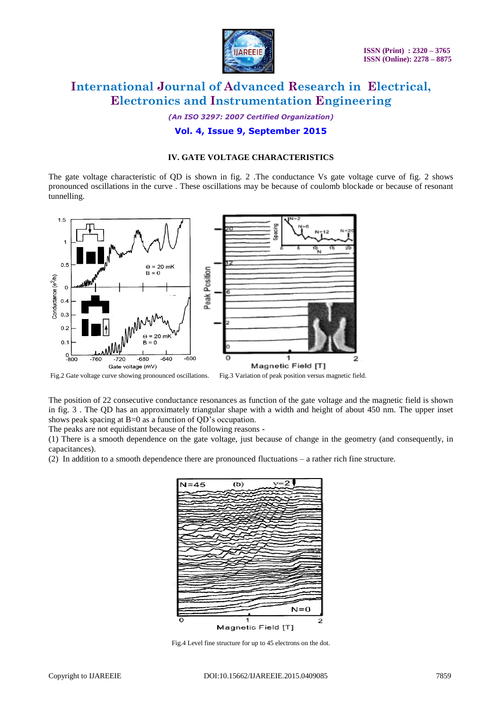

*(An ISO 3297: 2007 Certified Organization)*

# **Vol. 4, Issue 9, September 2015**

## **IV. GATE VOLTAGE CHARACTERISTICS**

The gate voltage characteristic of QD is shown in fig. 2 .The conductance Vs gate voltage curve of fig. 2 shows pronounced oscillations in the curve . These oscillations may be because of coulomb blockade or because of resonant tunnelling.



Fig.2 Gate voltage curve showing pronounced oscillations. Fig.3 Variation of peak position versus magnetic field.

The position of 22 consecutive conductance resonances as function of the gate voltage and the magnetic field is shown in fig. 3 . The QD has an approximately triangular shape with a width and height of about 450 nm. The upper inset shows peak spacing at B=0 as a function of QD's occupation.

The peaks are not equidistant because of the following reasons -

(1) There is a smooth dependence on the gate voltage, just because of change in the geometry (and consequently, in capacitances).

(2) In addition to a smooth dependence there are pronounced fluctuations – a rather rich fine structure.



Fig.4 Level fine structure for up to 45 electrons on the dot.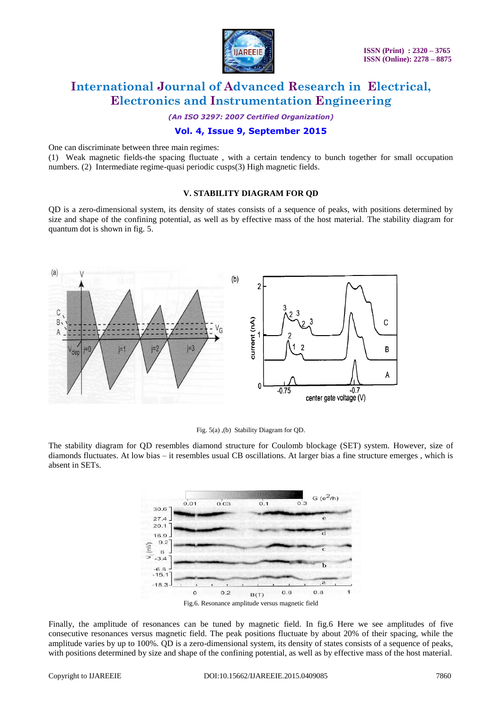

*(An ISO 3297: 2007 Certified Organization)*

## **Vol. 4, Issue 9, September 2015**

One can discriminate between three main regimes:

(1) Weak magnetic fields-the spacing fluctuate , with a certain tendency to bunch together for small occupation numbers. (2) Intermediate regime-quasi periodic cusps(3) High magnetic fields.

#### **V. STABILITY DIAGRAM FOR QD**

QD is a zero-dimensional system, its density of states consists of a sequence of peaks, with positions determined by size and shape of the confining potential, as well as by effective mass of the host material. The stability diagram for quantum dot is shown in fig. 5.



Fig. 5(a) ,(b) Stability Diagram for QD.

The stability diagram for QD resembles diamond structure for Coulomb blockage (SET) system. However, size of diamonds fluctuates. At low bias – it resembles usual CB oscillations. At larger bias a fine structure emerges , which is absent in SETs.



Finally, the amplitude of resonances can be tuned by magnetic field. In fig.6 Here we see amplitudes of five consecutive resonances versus magnetic field. The peak positions fluctuate by about 20% of their spacing, while the amplitude varies by up to 100%. QD is a zero-dimensional system, its density of states consists of a sequence of peaks, with positions determined by size and shape of the confining potential, as well as by effective mass of the host material.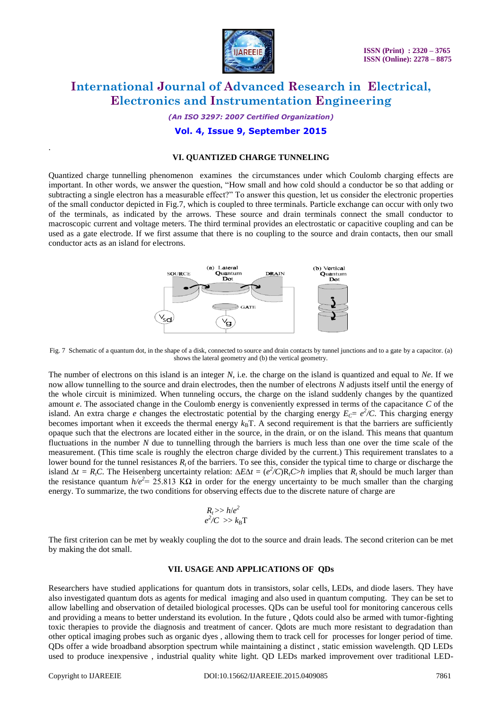

*(An ISO 3297: 2007 Certified Organization)*

### **Vol. 4, Issue 9, September 2015**

#### **VI. QUANTIZED CHARGE TUNNELING**

Quantized charge tunnelling phenomenon examines the circumstances under which Coulomb charging effects are important. In other words, we answer the question, "How small and how cold should a conductor be so that adding or subtracting a single electron has a measurable effect?" To answer this question, let us consider the electronic properties of the small conductor depicted in Fig.7, which is coupled to three terminals. Particle exchange can occur with only two of the terminals, as indicated by the arrows. These source and drain terminals connect the small conductor to macroscopic current and voltage meters. The third terminal provides an electrostatic or capacitive coupling and can be used as a gate electrode. If we first assume that there is no coupling to the source and drain contacts, then our small conductor acts as an island for electrons.



Fig. 7 Schematic of a quantum dot, in the shape of a disk, connected to source and drain contacts by tunnel junctions and to a gate by a capacitor. (a) shows the lateral geometry and (b) the vertical geometry.

The number of electrons on this island is an integer *N*, i.e. the charge on the island is quantized and equal to *Ne*. If we now allow tunnelling to the source and drain electrodes, then the number of electrons *N* adjusts itself until the energy of the whole circuit is minimized. When tunneling occurs, the charge on the island suddenly changes by the quantized amount *e*. The associated change in the Coulomb energy is conveniently expressed in terms of the capacitance *C* of the island. An extra charge *e* changes the electrostatic potential by the charging energy  $E_c = e^2/C$ . This charging energy becomes important when it exceeds the thermal energy  $k_B T$ . A second requirement is that the barriers are sufficiently opaque such that the electrons are located either in the source, in the drain, or on the island. This means that quantum fluctuations in the number *N* due to tunnelling through the barriers is much less than one over the time scale of the measurement. (This time scale is roughly the electron charge divided by the current.) This requirement translates to a lower bound for the tunnel resistances  $R_t$  of the barriers. To see this, consider the typical time to charge or discharge the island  $\Delta t = R_t C$ . The Heisenberg uncertainty relation:  $\Delta E \Delta t = (e^2/C)R_t C > h$  implies that  $R_t$  should be much larger than the resistance quantum  $h/e^2$  = 25.813 K $\Omega$  in order for the energy uncertainty to be much smaller than the charging energy. To summarize, the two conditions for observing effects due to the discrete nature of charge are

$$
R_t >> h/e^2\\ e^2/C \implies k_B T
$$

The first criterion can be met by weakly coupling the dot to the source and drain leads. The second criterion can be met by making the dot small.

#### **VII. USAGE AND APPLICATIONS OF QDs**

Researchers have studied applications for quantum dots in [transistors,](https://en.wikipedia.org/wiki/Transistor) [solar cells,](https://en.wikipedia.org/wiki/Solar_cell) [LEDs,](https://en.wikipedia.org/wiki/Light-emitting_diode) and [diode lasers.](https://en.wikipedia.org/wiki/Laser_diode) They have also investigated quantum dots as [agents](https://en.wikipedia.org/wiki/Stain) for medical [imaging](https://en.wikipedia.org/wiki/Medical_imaging) and also used in [quantum computing.](https://en.wikipedia.org/wiki/Quantum_computing) They can be set to allow labelling and observation of detailed biological processes. QDs can be useful tool for monitoring cancerous cells and providing a means to better understand its evolution. In the future , Qdots could also be armed with tumor-fighting toxic therapies to provide the diagnosis and treatment of cancer. Qdots are much more resistant to degradation than other optical imaging probes such as organic dyes , allowing them to track cell for processes for longer period of time. QDs offer a wide broadband absorption spectrum while maintaining a distinct , static emission wavelength. QD LEDs used to produce inexpensive , industrial quality white light. QD LEDs marked improvement over traditional LED-

.